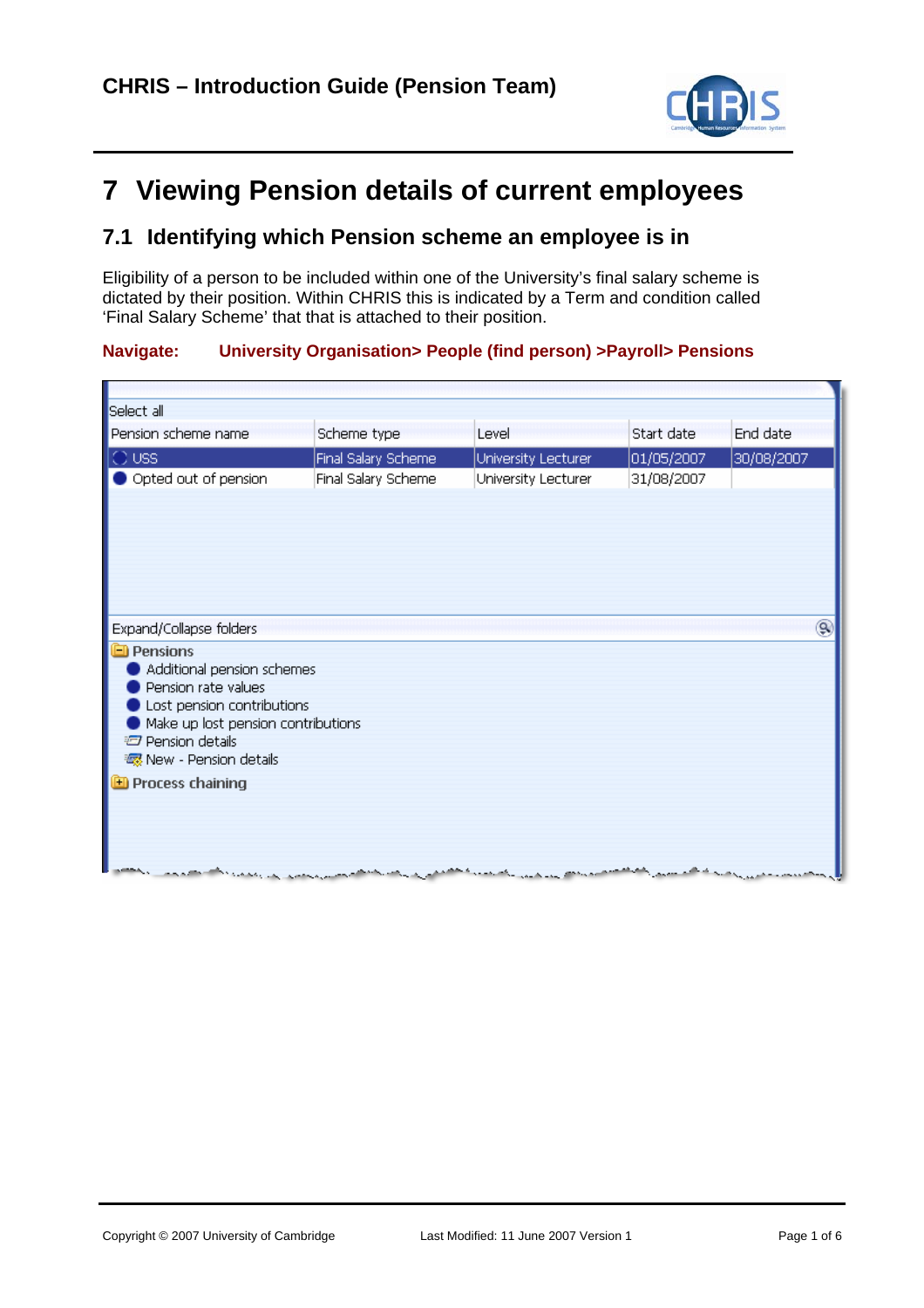

# **7 Viewing Pension details of current employees**

### **7.1 Identifying which Pension scheme an employee is in**

Eligibility of a person to be included within one of the University's final salary scheme is dictated by their position. Within CHRIS this is indicated by a Term and condition called 'Final Salary Scheme' that that is attached to their position.

### **Navigate: University Organisation> People (find person) >Payroll> Pensions**

| Select all                                                            |                     |                     |            |            |
|-----------------------------------------------------------------------|---------------------|---------------------|------------|------------|
| Pension scheme name                                                   | Scheme type         | Level               | Start date | End date   |
| IO ussi                                                               | Final Salary Scheme | University Lecturer | 01/05/2007 | 30/08/2007 |
| Opted out of pension                                                  | Final Salary Scheme | University Lecturer | 31/08/2007 |            |
|                                                                       |                     |                     |            |            |
|                                                                       |                     |                     |            |            |
|                                                                       |                     |                     |            |            |
|                                                                       |                     |                     |            |            |
|                                                                       |                     |                     |            |            |
|                                                                       |                     |                     |            |            |
| Expand/Collapse folders                                               |                     |                     |            | ۹          |
| <b>Pensions</b>                                                       |                     |                     |            |            |
| Additional pension schemes                                            |                     |                     |            |            |
| Pension rate values                                                   |                     |                     |            |            |
| Lost pension contributions                                            |                     |                     |            |            |
| Make up lost pension contributions<br><b><i>D</i></b> Pension details |                     |                     |            |            |
| ※ New - Pension details                                               |                     |                     |            |            |
| <b>ED</b> Process chaining                                            |                     |                     |            |            |
|                                                                       |                     |                     |            |            |
|                                                                       |                     |                     |            |            |
|                                                                       |                     |                     |            |            |
|                                                                       |                     |                     |            |            |
|                                                                       | and the form of     |                     |            |            |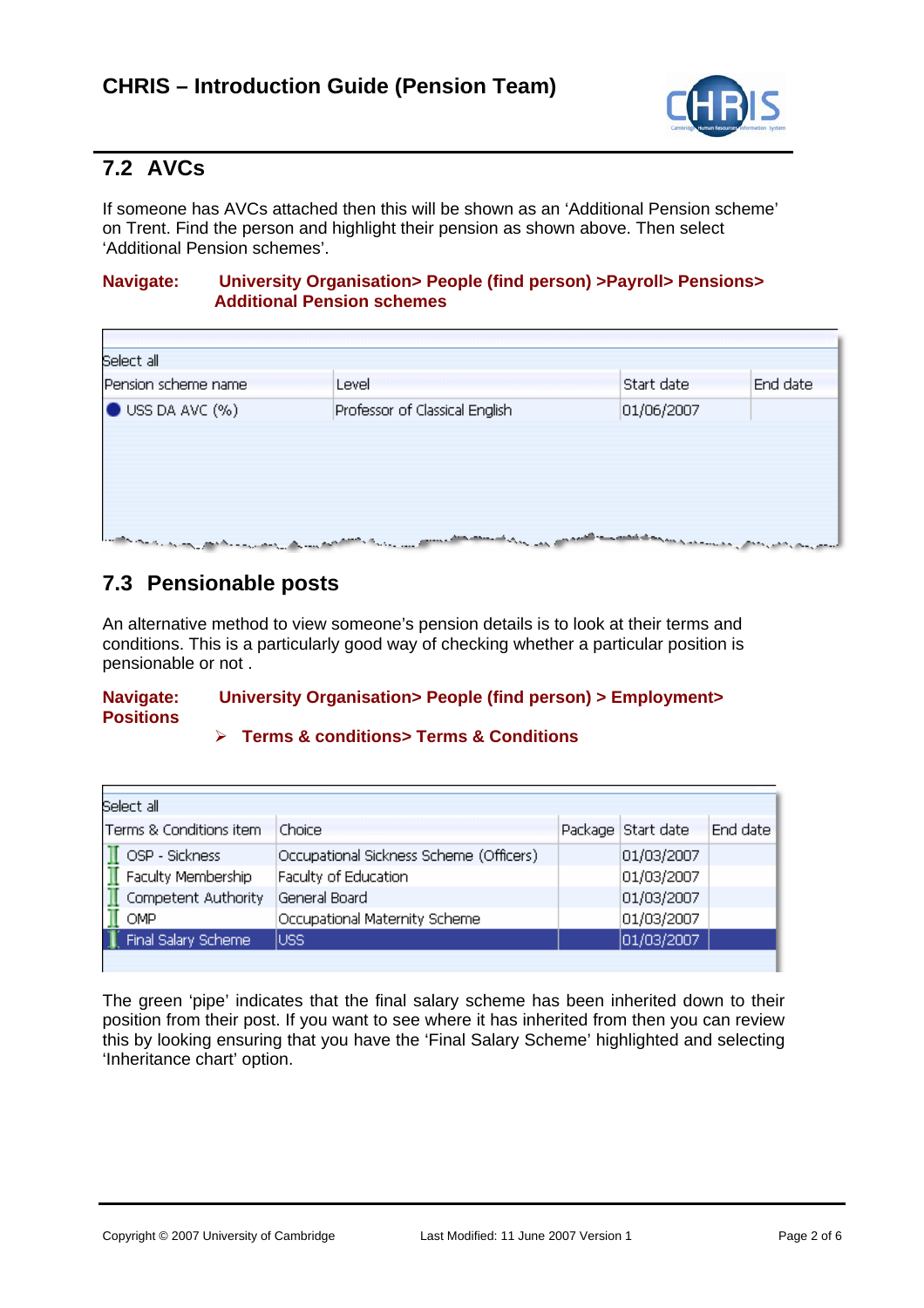

# **7.2 AVCs**

If someone has AVCs attached then this will be shown as an 'Additional Pension scheme' on Trent. Find the person and highlight their pension as shown above. Then select 'Additional Pension schemes'.

### **Navigate: University Organisation> People (find person) >Payroll> Pensions> Additional Pension schemes**

| Pension scheme name          | Level                          | Start date | End date |
|------------------------------|--------------------------------|------------|----------|
| $\bullet$ USS DA AVC $(\% )$ | Professor of Classical English | 01/06/2007 |          |

# **7.3 Pensionable posts**

An alternative method to view someone's pension details is to look at their terms and conditions. This is a particularly good way of checking whether a particular position is pensionable or not .

### **Navigate: University Organisation> People (find person) > Employment> Positions**

### ¾ **Terms & conditions> Terms & Conditions**

| Select all              |                                         |                    |          |
|-------------------------|-----------------------------------------|--------------------|----------|
| Terms & Conditions item | Choice                                  | Package Start date | End date |
| OSP - Sickness          | Occupational Sickness Scheme (Officers) | 01/03/2007         |          |
| Faculty Membership      | Faculty of Education                    | 01/03/2007         |          |
| Competent Authority     | General Board                           | 01/03/2007         |          |
| OMP                     | Occupational Maternity Scheme           | 01/03/2007         |          |
| Final Salary Scheme     | luss                                    | 01/03/2007         |          |
|                         |                                         |                    |          |

The green 'pipe' indicates that the final salary scheme has been inherited down to their position from their post. If you want to see where it has inherited from then you can review this by looking ensuring that you have the 'Final Salary Scheme' highlighted and selecting 'Inheritance chart' option.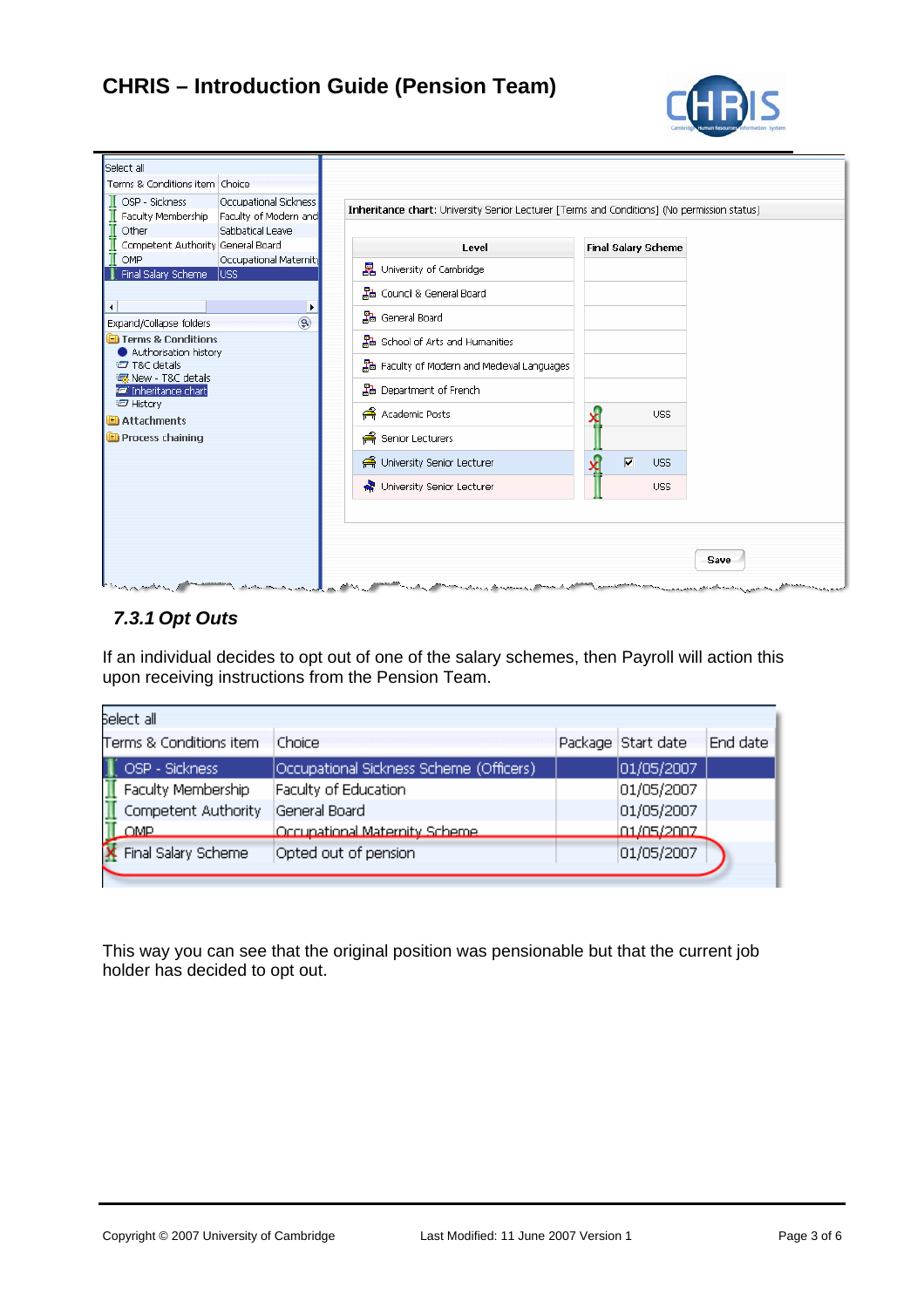# **CHRIS – Introduction Guide (Pension Team)**



| Select all<br>Terms & Conditions item Choice<br>OSP - Sickness<br>Occupational Sickness<br>Faculty Membership<br>Faculty of Modern and<br>Other<br>Sabbatical Leave | Inheritance chart: University Senior Lecturer [Terms and Conditions] (No permission status) |                                       |
|---------------------------------------------------------------------------------------------------------------------------------------------------------------------|---------------------------------------------------------------------------------------------|---------------------------------------|
| Competent Authority General Board                                                                                                                                   | Level                                                                                       | <b>Final Salary Scheme</b>            |
| OMP<br>Occupational Maternity<br>Final Salary Scheme<br>luss.                                                                                                       | 異 University of Cambridge                                                                   |                                       |
|                                                                                                                                                                     | 品 Council & General Board                                                                   |                                       |
| ◂<br>٠<br>$\circledR$<br>Expand/Collapse folders                                                                                                                    | 晶 General Board                                                                             |                                       |
| Terms & Conditions<br>Authorisation history                                                                                                                         | 黑• School of Arts and Humanities                                                            |                                       |
| T&C details<br><b>xxx</b> New - T&C details                                                                                                                         | 묿 Faculty of Modern and Medieval Languages                                                  |                                       |
| <b>E</b> Inheritance chart                                                                                                                                          | 品 Department of French                                                                      |                                       |
| <b>□ History</b><br><b>ED</b> Attachments                                                                                                                           | Academic Posts                                                                              | <b>USS</b>                            |
| <b>ED</b> Process chaining                                                                                                                                          | ∉ Senior Lecturers                                                                          |                                       |
|                                                                                                                                                                     | A University Senior Lecturer                                                                | $\overline{\mathbf{v}}$<br><b>USS</b> |
|                                                                                                                                                                     | University Senior Lecturer                                                                  | <b>USS</b>                            |
|                                                                                                                                                                     |                                                                                             | Save                                  |

### *7.3.1 Opt Outs*

If an individual decides to opt out of one of the salary schemes, then Payroll will action this upon receiving instructions from the Pension Team.

| Belect all               |                                         |  |                    |          |  |  |  |  |  |
|--------------------------|-----------------------------------------|--|--------------------|----------|--|--|--|--|--|
| Terms & Conditions item  | Choice                                  |  | Package Start date | End date |  |  |  |  |  |
| OSP - Sickness           | Occupational Sickness Scheme (Officers) |  | 01/05/2007         |          |  |  |  |  |  |
| Faculty Membership       | Faculty of Education                    |  | 01/05/2007         |          |  |  |  |  |  |
| Щ<br>Competent Authority | General Board                           |  | 01/05/2007         |          |  |  |  |  |  |
| <b>OMP</b>               | Occupational Maternity Scheme.          |  | 01/05/2007         |          |  |  |  |  |  |
| Final Salary Scheme      | Opted out of pension                    |  | 01/05/2007         |          |  |  |  |  |  |
|                          |                                         |  |                    |          |  |  |  |  |  |

This way you can see that the original position was pensionable but that the current job holder has decided to opt out.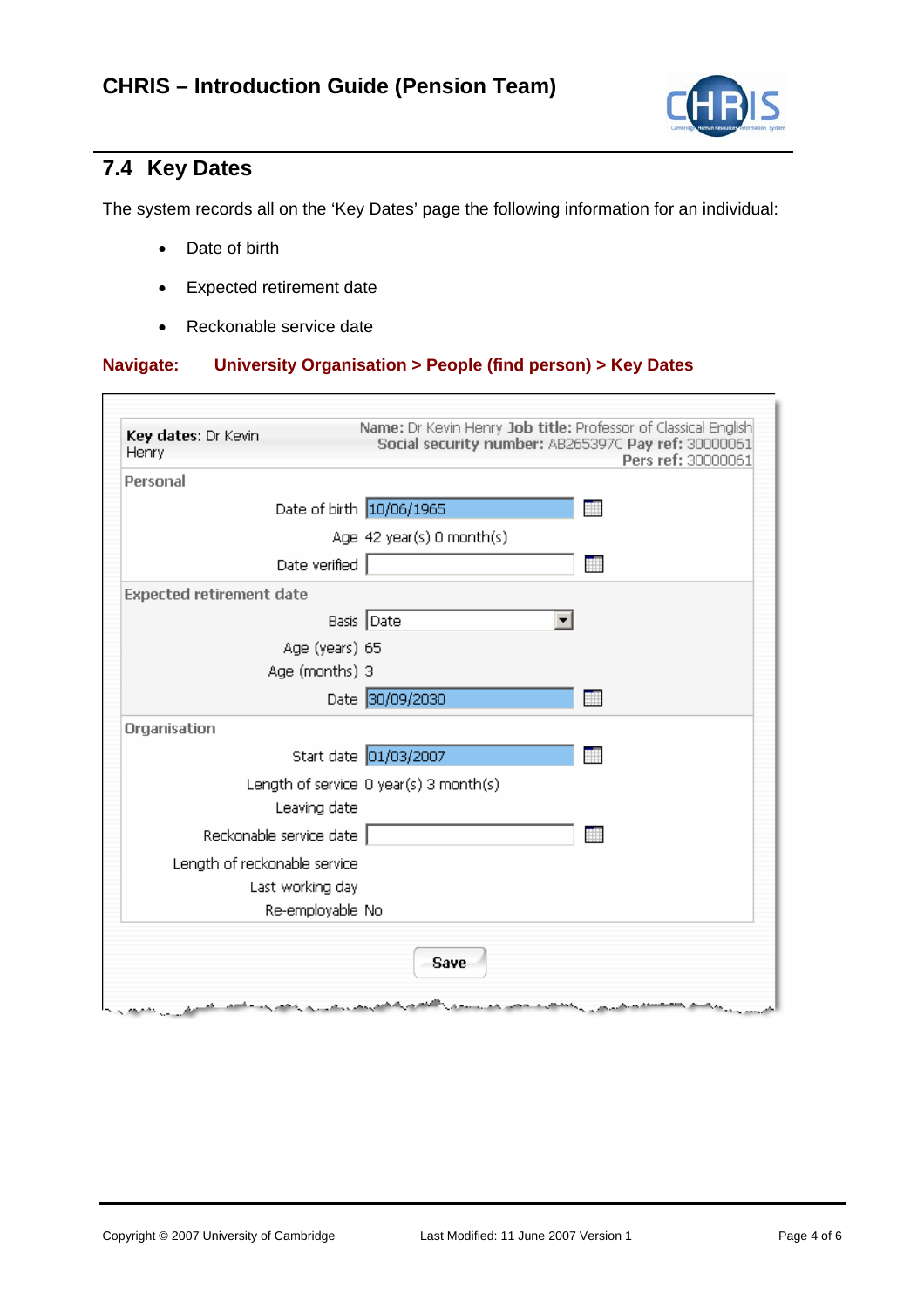

# **7.4 Key Dates**

г

The system records all on the 'Key Dates' page the following information for an individual:

- Date of birth
- Expected retirement date
- Reckonable service date

### **Navigate: University Organisation > People (find person) > Key Dates**

| Key dates: Dr Kevin<br>Henry    | Name: Dr Kevin Henry Job title: Professor of Classical English<br>Social security number: AB265397C Pay ref: 30000061<br>Pers ref: 30000061 |
|---------------------------------|---------------------------------------------------------------------------------------------------------------------------------------------|
| Personal                        |                                                                                                                                             |
|                                 | Date of birth 10/06/1965                                                                                                                    |
|                                 | Age 42 year(s) 0 month(s)                                                                                                                   |
| Date verified                   | 譕                                                                                                                                           |
| <b>Expected retirement date</b> |                                                                                                                                             |
|                                 | Basis Date                                                                                                                                  |
| Age (years) 65                  |                                                                                                                                             |
| Age (months) 3                  |                                                                                                                                             |
|                                 | Date 30/09/2030<br>撫                                                                                                                        |
| Organisation                    |                                                                                                                                             |
|                                 | Start date 01/03/2007                                                                                                                       |
|                                 | Length of service 0 year(s) 3 month(s)                                                                                                      |
| Leaving date                    |                                                                                                                                             |
| Reckonable service date         |                                                                                                                                             |
| Length of reckonable service    |                                                                                                                                             |
| Last working day                |                                                                                                                                             |
| Re-employable No                |                                                                                                                                             |
|                                 |                                                                                                                                             |
|                                 | Save                                                                                                                                        |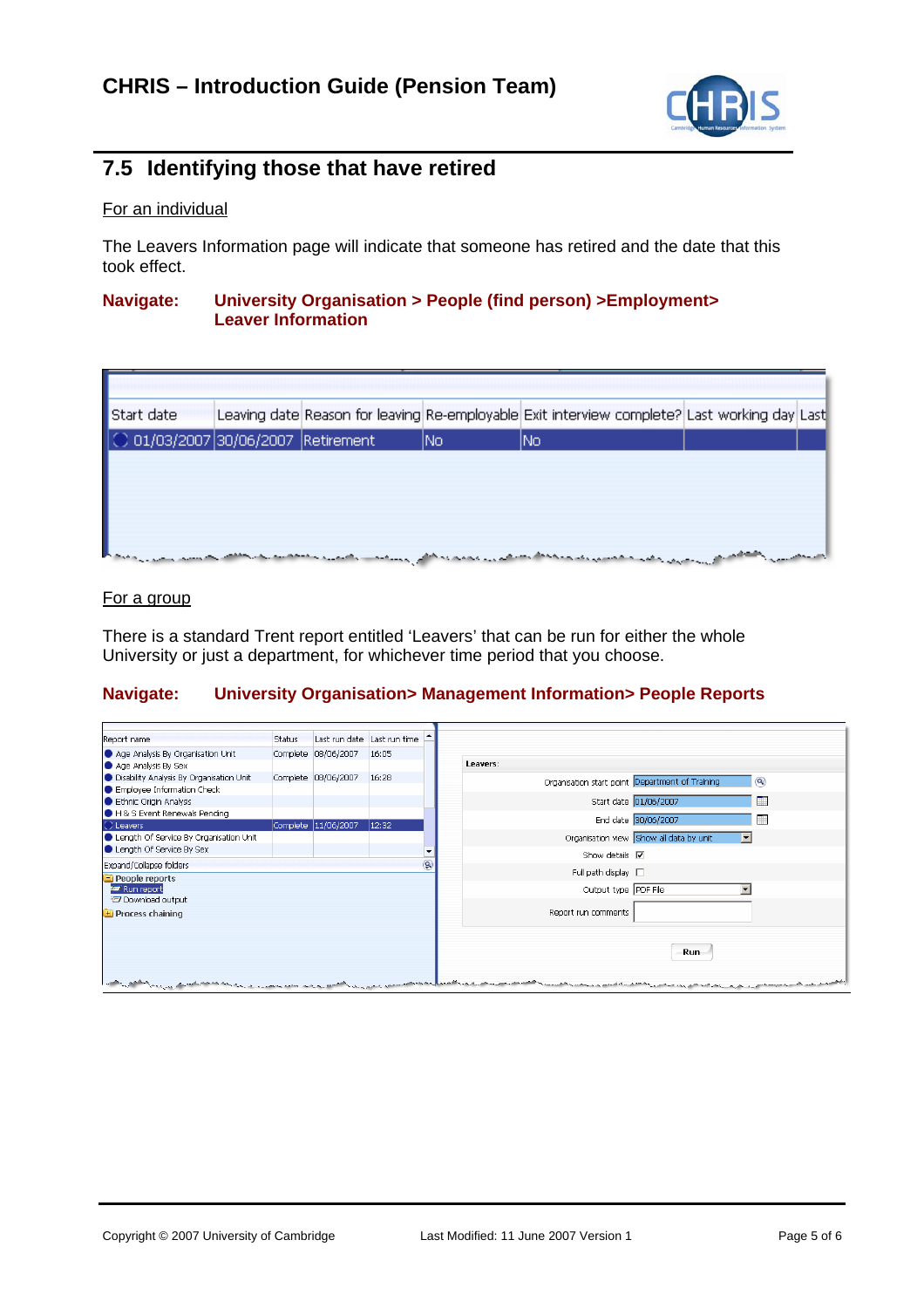

# **7.5 Identifying those that have retired**

### For an individual

The Leavers Information page will indicate that someone has retired and the date that this took effect.

#### **Navigate: University Organisation > People (find person) >Employment> Leaver Information**

| Start date                                  | Leaving date Reason for leaving Re-employable Exit interview complete? Last working day Last           |     |     |  |  |
|---------------------------------------------|--------------------------------------------------------------------------------------------------------|-----|-----|--|--|
| $\bigcirc$ 01/03/2007 30/06/2007 Retirement |                                                                                                        | INo | INo |  |  |
|                                             |                                                                                                        |     |     |  |  |
|                                             |                                                                                                        |     |     |  |  |
|                                             |                                                                                                        |     |     |  |  |
|                                             |                                                                                                        |     |     |  |  |
|                                             | المحارب والمحارب والمحارب والمتحاول والمتعالى والمراد والمتعارض والمحارب والمتعارض والمستحقق والمستوقف |     |     |  |  |

#### For a group

There is a standard Trent report entitled 'Leavers' that can be run for either the whole University or just a department, for whichever time period that you choose.

#### **Navigate: University Organisation> Management Information> People Reports**

| Report name                              | <b>Status</b> | Last run date Last run time |       |   |
|------------------------------------------|---------------|-----------------------------|-------|---|
|                                          |               |                             |       |   |
| Age Analysis By Organisation Unit        |               | Complete 08/06/2007         | 16:05 |   |
| Age Analysis By Sex                      |               |                             |       |   |
| Disability Analysis By Organisation Unit |               | Complete 08/06/2007         | 16:28 |   |
| Employee Information Check               |               |                             |       |   |
| Ethnic Origin Analysis                   |               |                             |       |   |
| H & S Event Renewals Pending             |               |                             |       |   |
| C Leavers                                |               | Complete 11/06/2007         | 12:32 |   |
| Length Of Service By Organisation Unit   |               |                             |       |   |
| Length Of Service By Sex                 |               |                             |       |   |
| Expand/Collapse folders                  |               |                             |       | ۷ |
| <b>People reports</b>                    |               |                             |       |   |
| <b>Run</b> report                        |               |                             |       |   |
| Download output                          |               |                             |       |   |
| Process chaining                         |               |                             |       |   |
|                                          |               |                             |       |   |
|                                          |               |                             |       |   |
|                                          |               |                             |       |   |
|                                          |               |                             |       |   |
|                                          |               |                             |       |   |
|                                          |               |                             |       |   |